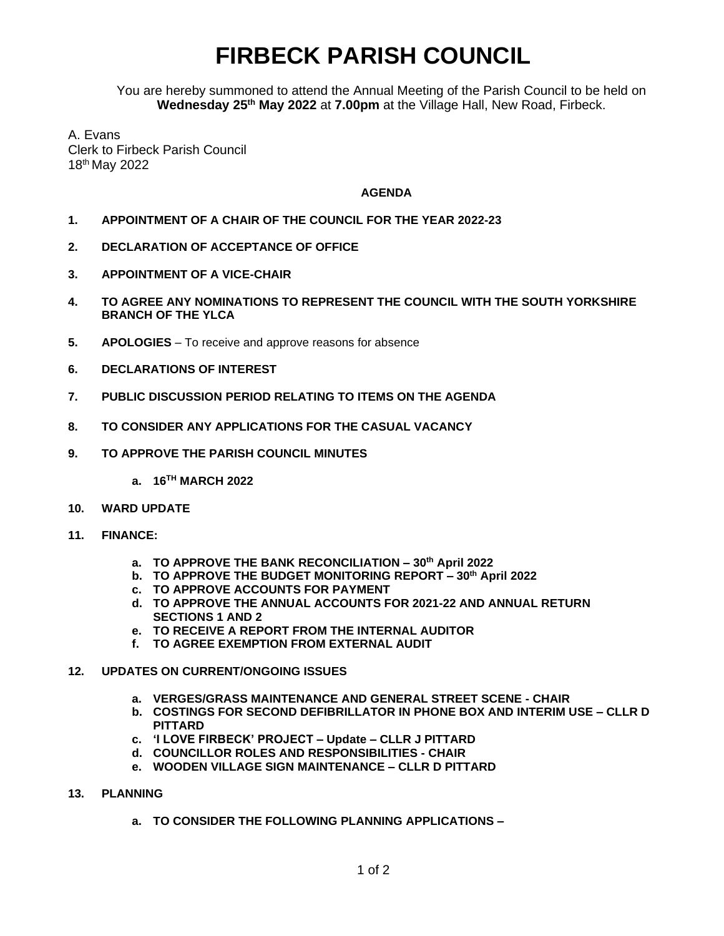## **FIRBECK PARISH COUNCIL**

You are hereby summoned to attend the Annual Meeting of the Parish Council to be held on **Wednesday 25th May 2022** at **7.00pm** at the Village Hall, New Road, Firbeck.

A. Evans Clerk to Firbeck Parish Council 18th May 2022

## **AGENDA**

- **1. APPOINTMENT OF A CHAIR OF THE COUNCIL FOR THE YEAR 2022-23**
- **2. DECLARATION OF ACCEPTANCE OF OFFICE**
- **3. APPOINTMENT OF A VICE-CHAIR**
- **4. TO AGREE ANY NOMINATIONS TO REPRESENT THE COUNCIL WITH THE SOUTH YORKSHIRE BRANCH OF THE YLCA**
- **5. APOLOGIES** To receive and approve reasons for absence
- **6. DECLARATIONS OF INTEREST**
- **7. PUBLIC DISCUSSION PERIOD RELATING TO ITEMS ON THE AGENDA**
- **8. TO CONSIDER ANY APPLICATIONS FOR THE CASUAL VACANCY**
- **9. TO APPROVE THE PARISH COUNCIL MINUTES** 
	- **a. 16 TH MARCH 2022**
- **10. WARD UPDATE**
- **11. FINANCE:**
	- **a. TO APPROVE THE BANK RECONCILIATION – 30th April 2022**
	- **b. TO APPROVE THE BUDGET MONITORING REPORT – 30th April 2022**
	- **c. TO APPROVE ACCOUNTS FOR PAYMENT**
	- **d. TO APPROVE THE ANNUAL ACCOUNTS FOR 2021-22 AND ANNUAL RETURN SECTIONS 1 AND 2**
	- **e. TO RECEIVE A REPORT FROM THE INTERNAL AUDITOR**
	- **f. TO AGREE EXEMPTION FROM EXTERNAL AUDIT**
- **12. UPDATES ON CURRENT/ONGOING ISSUES**
	- **a. VERGES/GRASS MAINTENANCE AND GENERAL STREET SCENE - CHAIR**
	- **b. COSTINGS FOR SECOND DEFIBRILLATOR IN PHONE BOX AND INTERIM USE – CLLR D PITTARD**
	- **c. 'I LOVE FIRBECK' PROJECT – Update – CLLR J PITTARD**
	- **d. COUNCILLOR ROLES AND RESPONSIBILITIES - CHAIR**
	- **e. WOODEN VILLAGE SIGN MAINTENANCE – CLLR D PITTARD**
- **13. PLANNING**
	- **a. TO CONSIDER THE FOLLOWING PLANNING APPLICATIONS –**